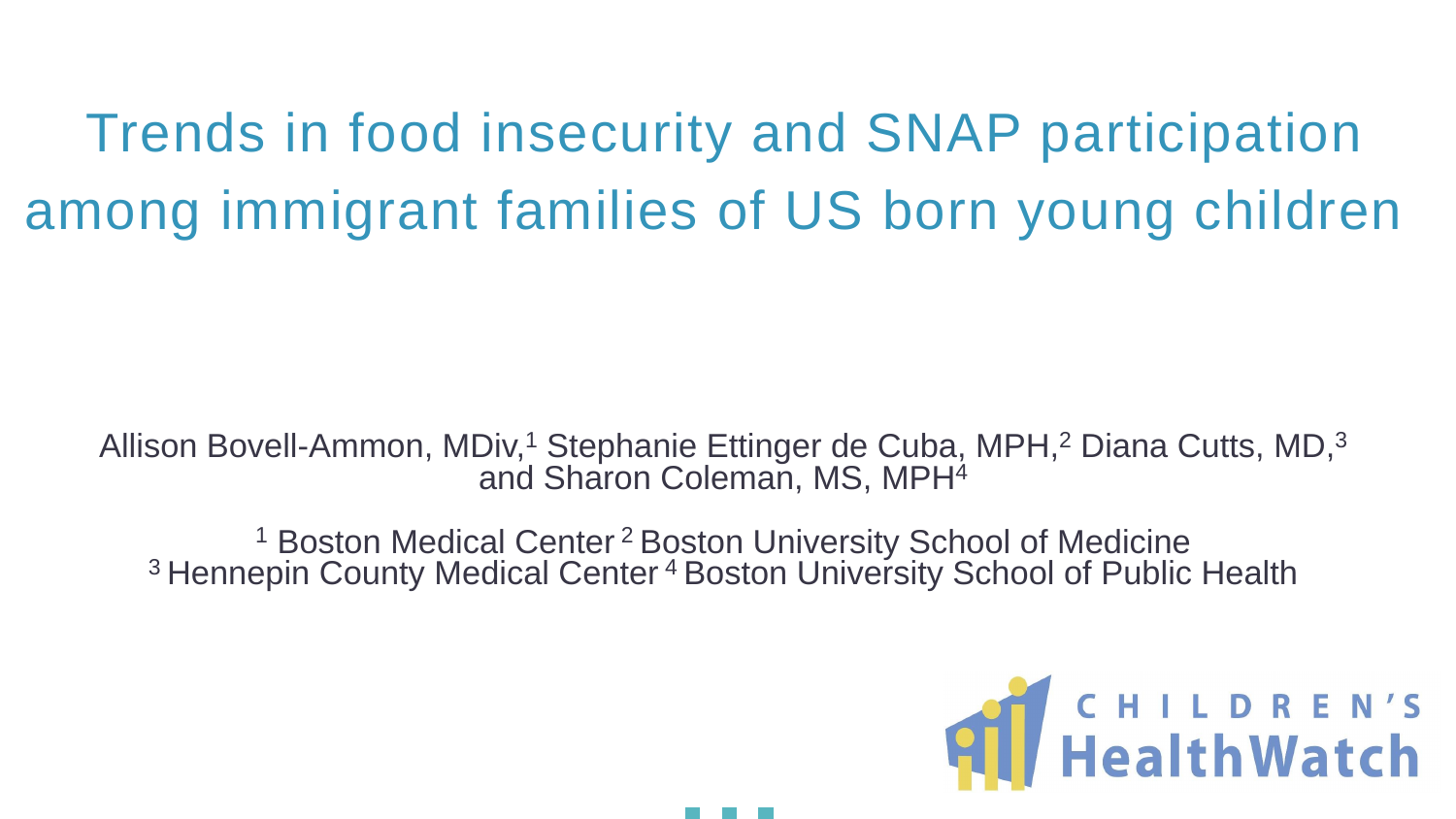Trends in food insecurity and SNAP participation among immigrant families of US born young children

- Allison Bovell-Ammon, MDiv,<sup>1</sup> Stephanie Ettinger de Cuba, MPH,<sup>2</sup> Diana Cutts, MD,<sup>3</sup> and Sharon Coleman, MS, MPH<sup>4</sup>
	- <sup>1</sup> Boston Medical Center<sup>2</sup> Boston University School of Medicine <sup>3</sup> Hennepin County Medical Center<sup>4</sup> Boston University School of Public Health



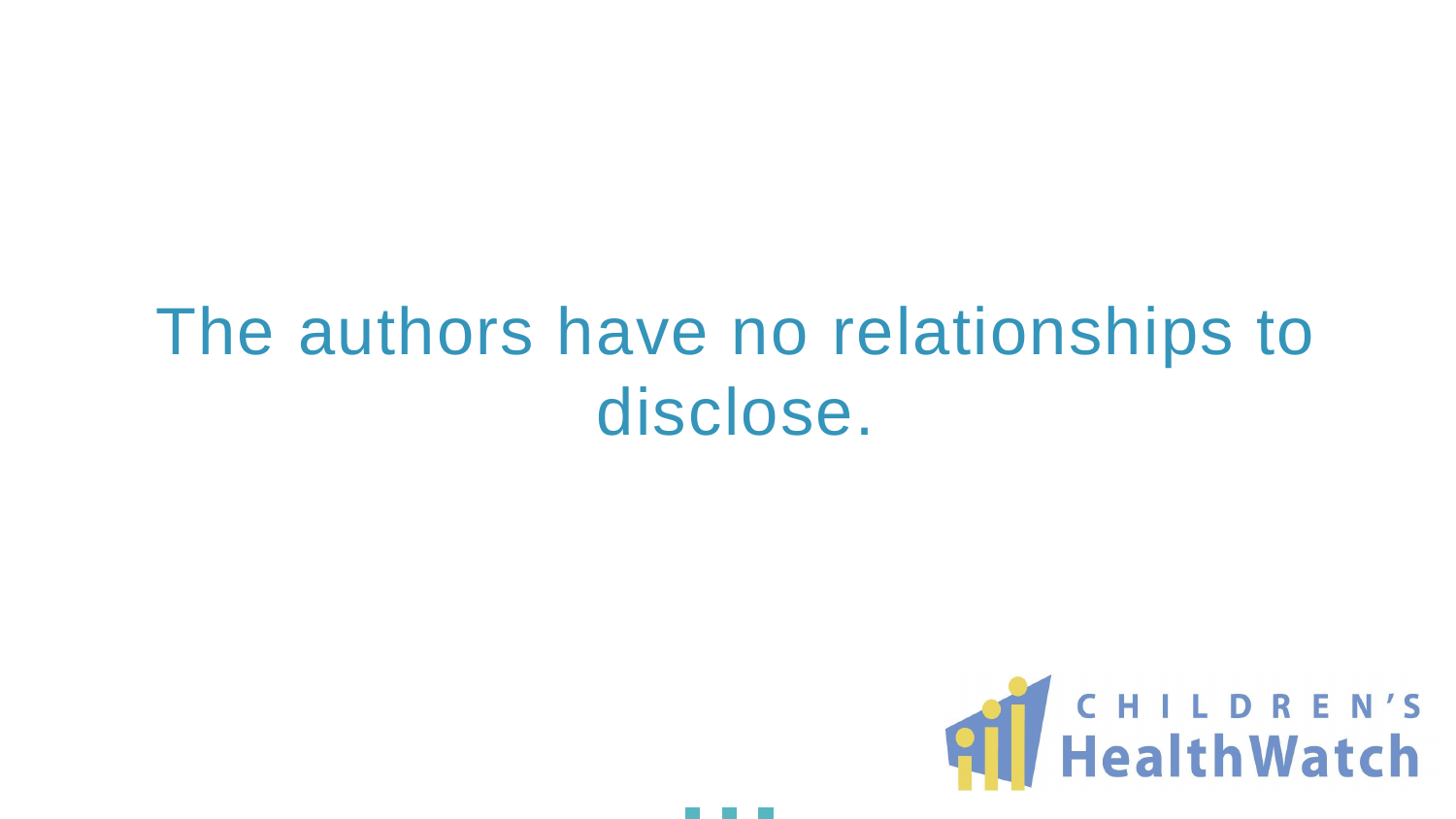### The authors have no relationships to disclose.

### **All HealthWatch**

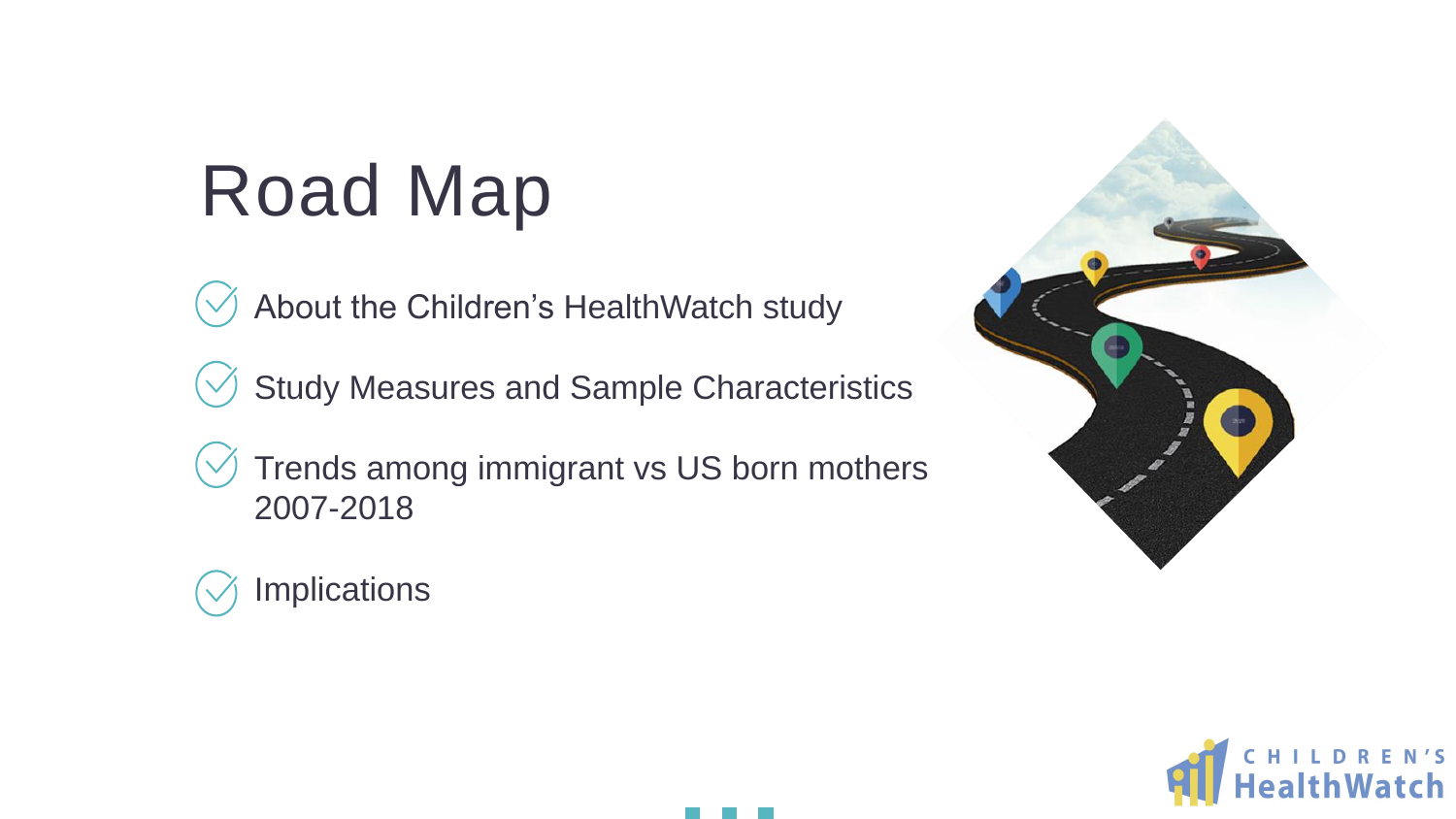### Road Map

- About the Children's HealthWatch study
- Study Measures and Sample Characteristics
- Trends among immigrant vs US born mothers 2007-2018
- Implications





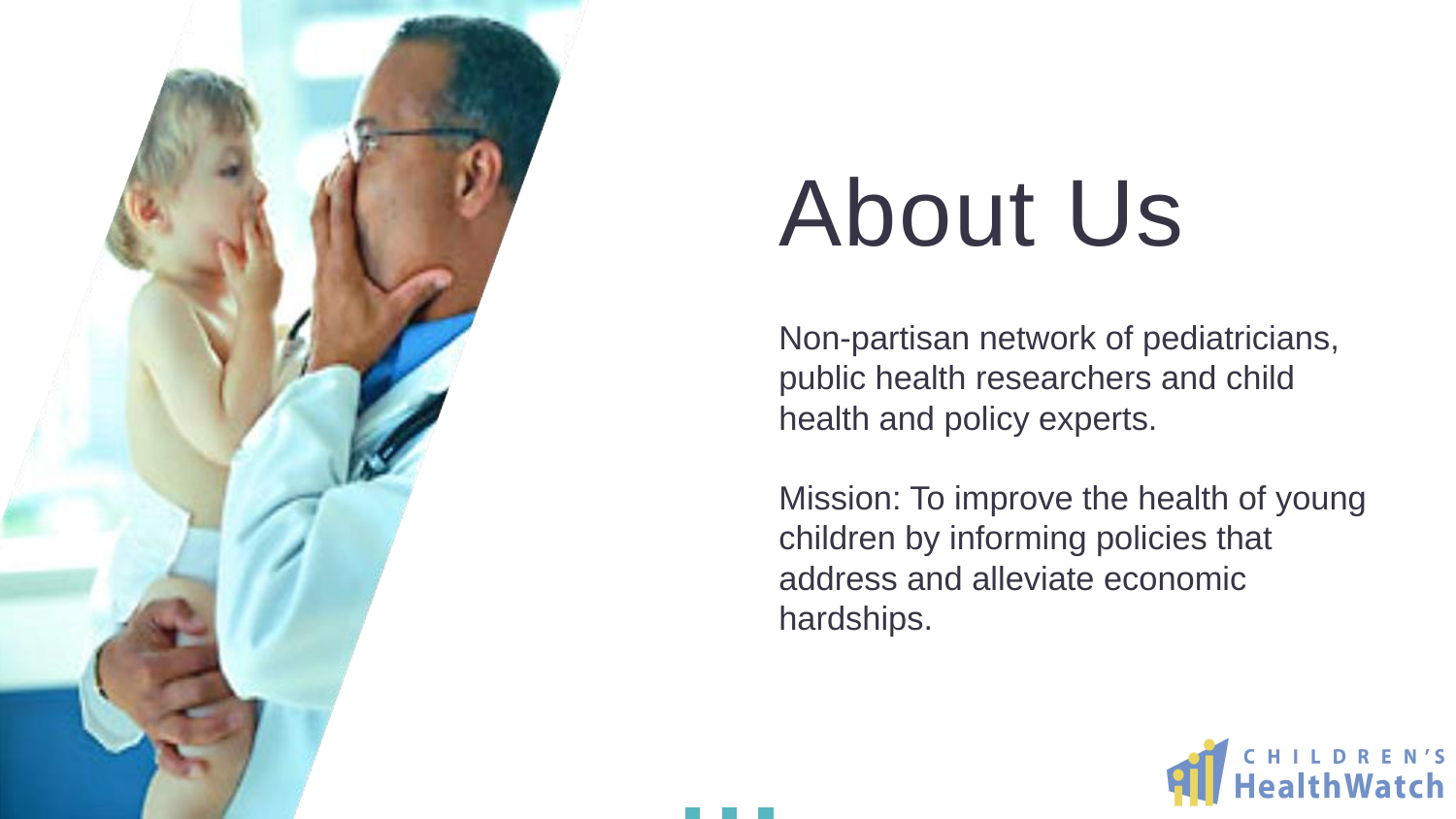Non-partisan network of pediatricians, public health researchers and child health and policy experts.

Mission: To improve the health of young children by informing policies that address and alleviate economic hardships.





## About Us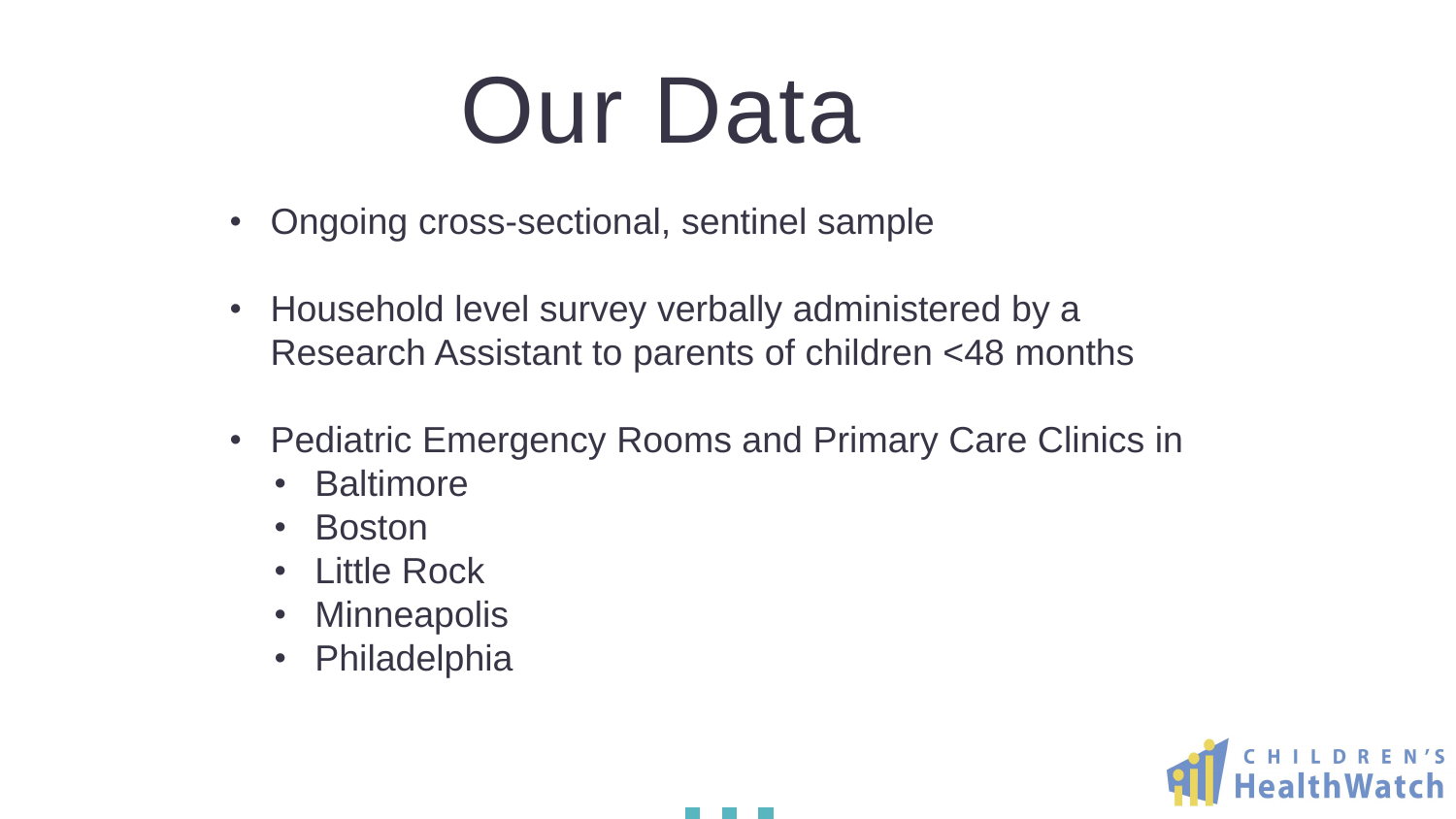## Our Data

- Ongoing cross-sectional, sentinel sample
- Household level survey verbally administered by a Research Assistant to parents of children <48 months
- Pediatric Emergency Rooms and Primary Care Clinics in
	- Baltimore
	- Boston
	- Little Rock
	- Minneapolis
	- Philadelphia

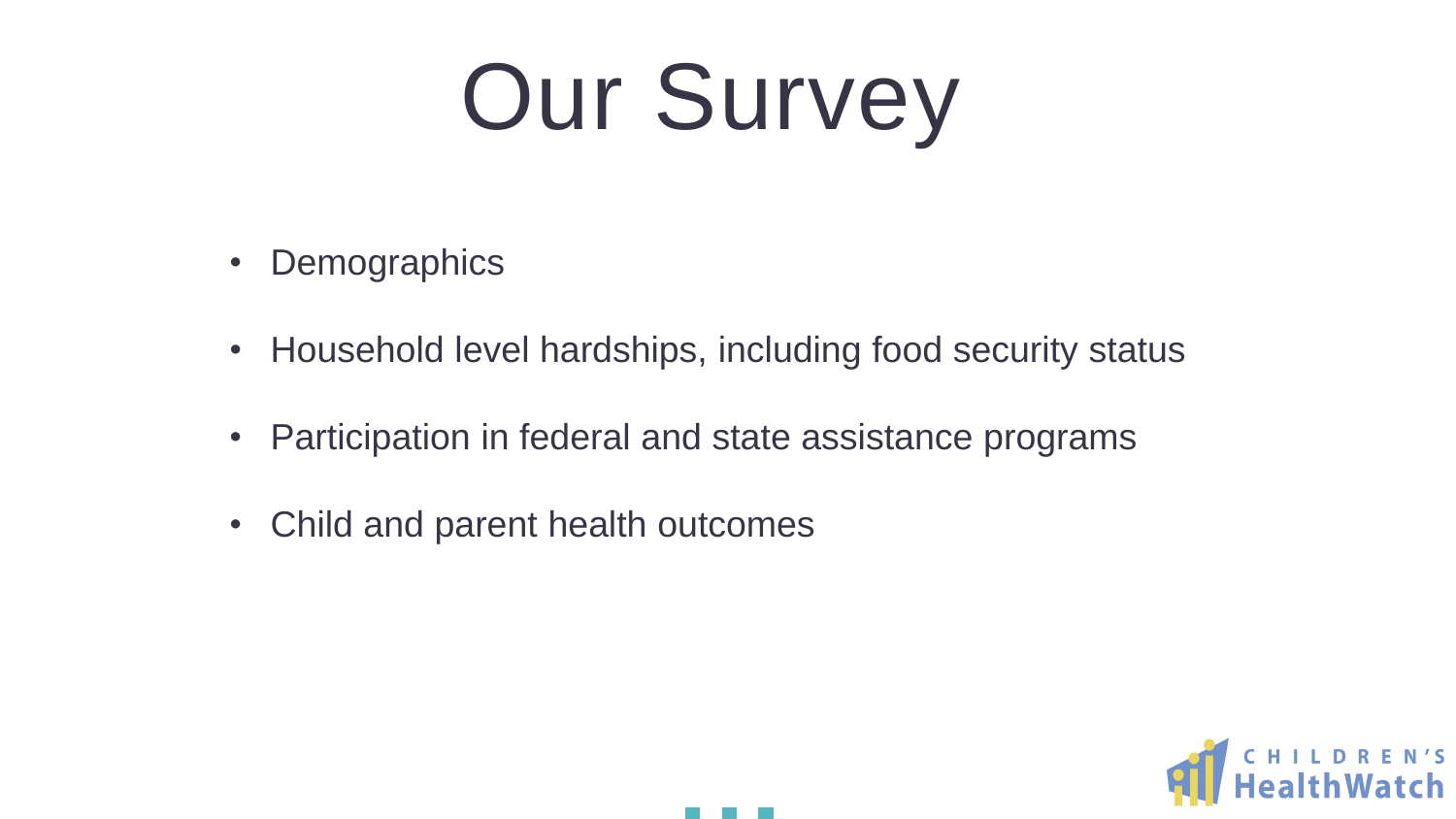





- Demographics
- Household level hardships, including food security status
- Participation in federal and state assistance programs
- Child and parent health outcomes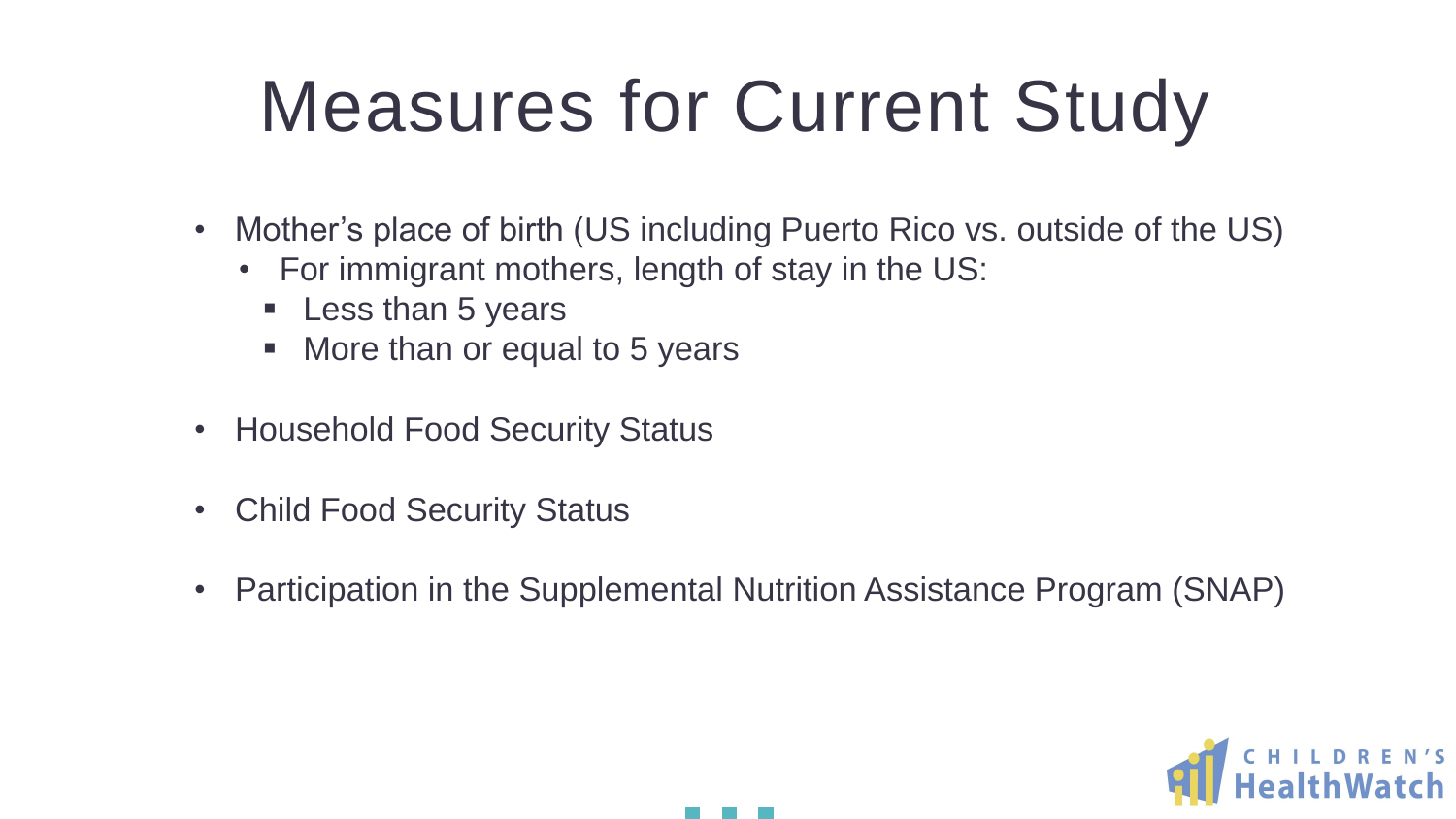## Measures for Current Study

• Mother's place of birth (US including Puerto Rico vs. outside of the US)

- - For immigrant mothers, length of stay in the US:
		- **Less than 5 years**
		- More than or equal to 5 years
- Household Food Security Status
- Child Food Security Status
- 

• Participation in the Supplemental Nutrition Assistance Program (SNAP)

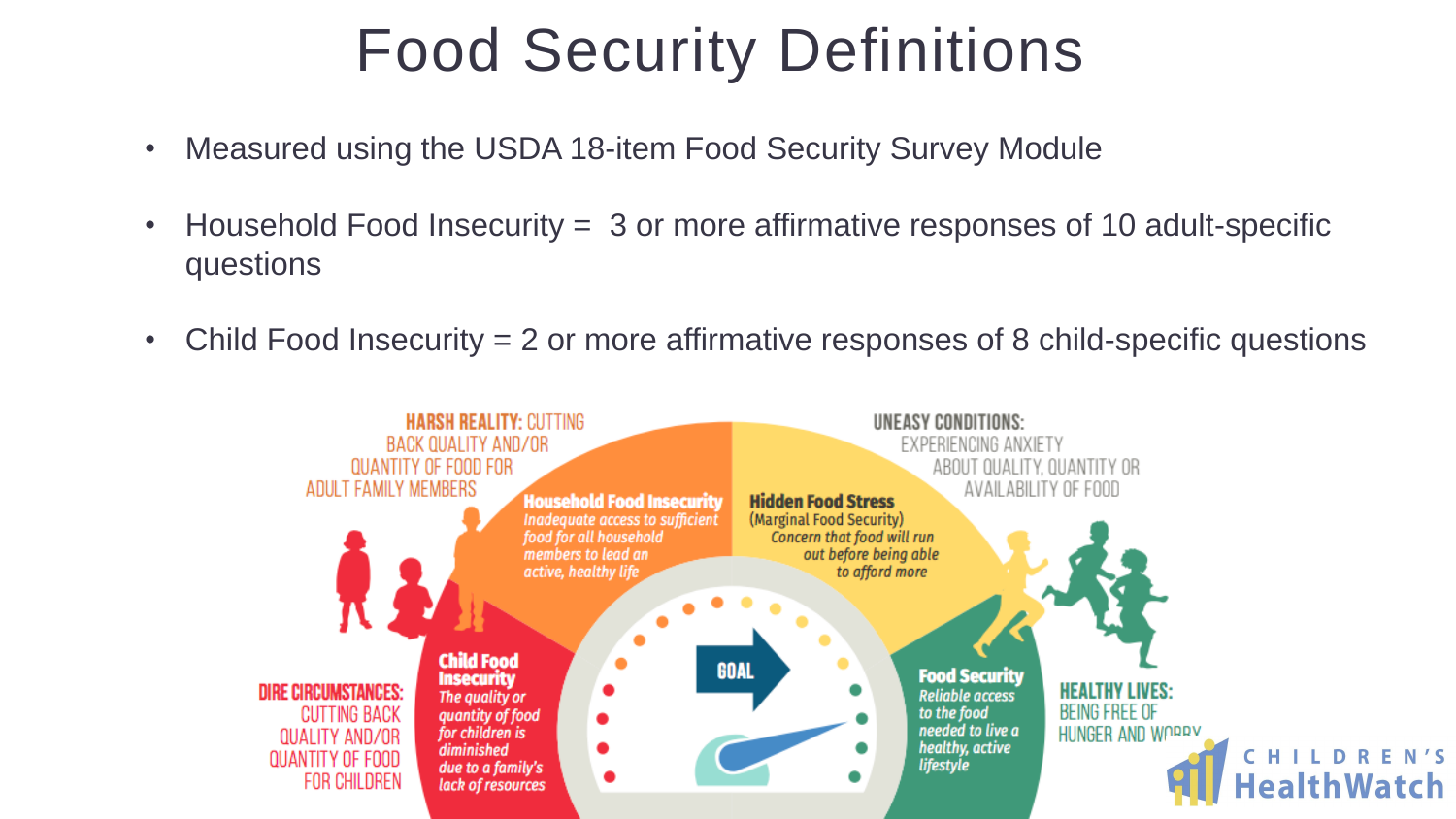### Food Security Definitions

- Measured using the USDA 18-item Food Security Survey Module
- Household Food Insecurity = 3 or more affirmative responses of 10 adult-specific questions
- Child Food Insecurity = 2 or more affirmative responses of 8 child-specific questions

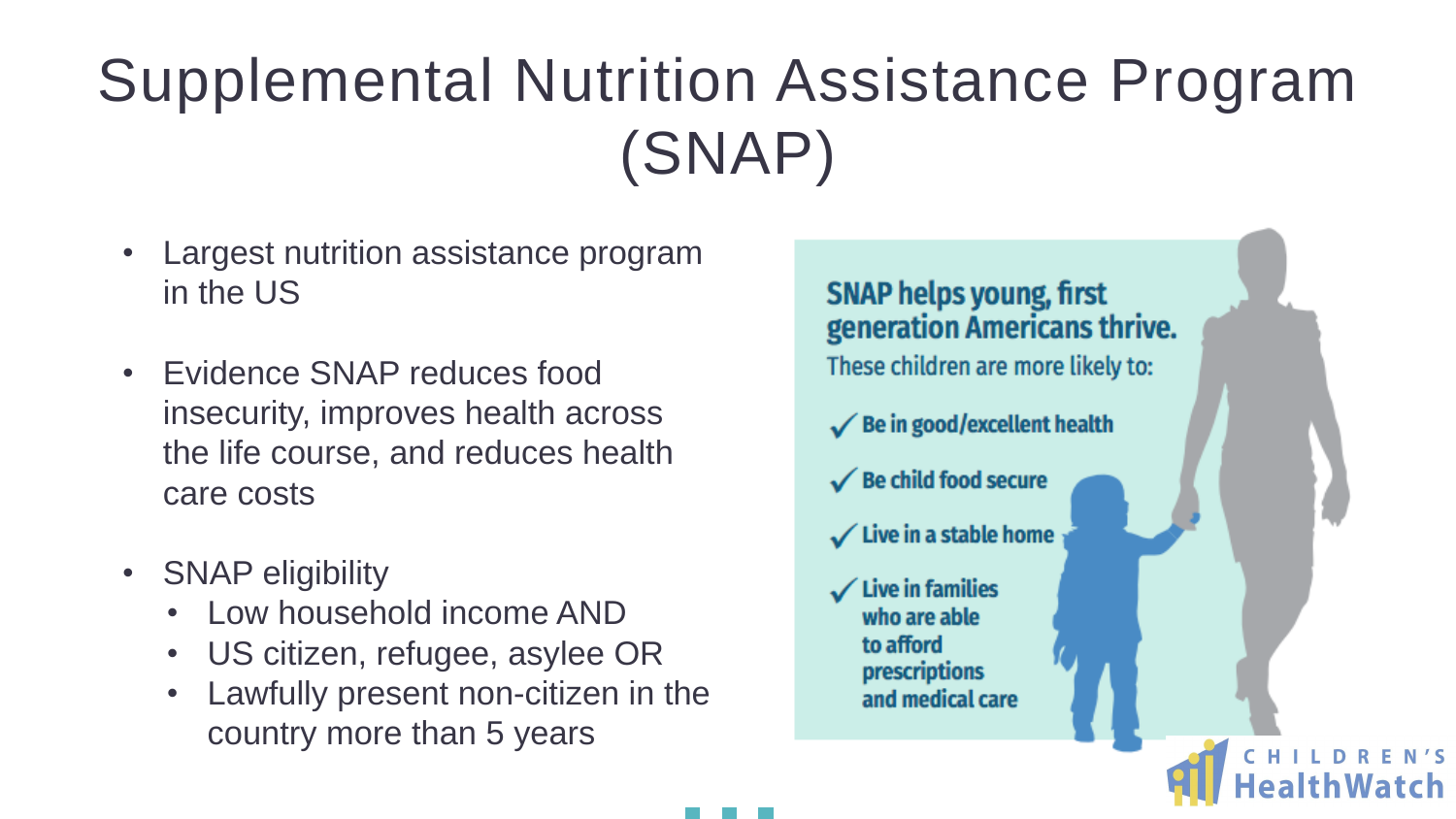### Supplemental Nutrition Assistance Program (SNAP)

- Largest nutrition assistance program in the US
- Evidence SNAP reduces food insecurity, improves health across the life course, and reduces health care costs
- SNAP eligibility
	- Low household income AND
	- US citizen, refugee, asylee OR
	- Lawfully present non-citizen in the country more than 5 years

#### **SNAP helps young, first** generation Americans thrive.

These children are more likely to:

 $\checkmark$  Be in good/excellent health

 $\checkmark$  Be child food secure

 $\checkmark$  Live in a stable home

**Live in families** who are able to afford prescriptions and medical care

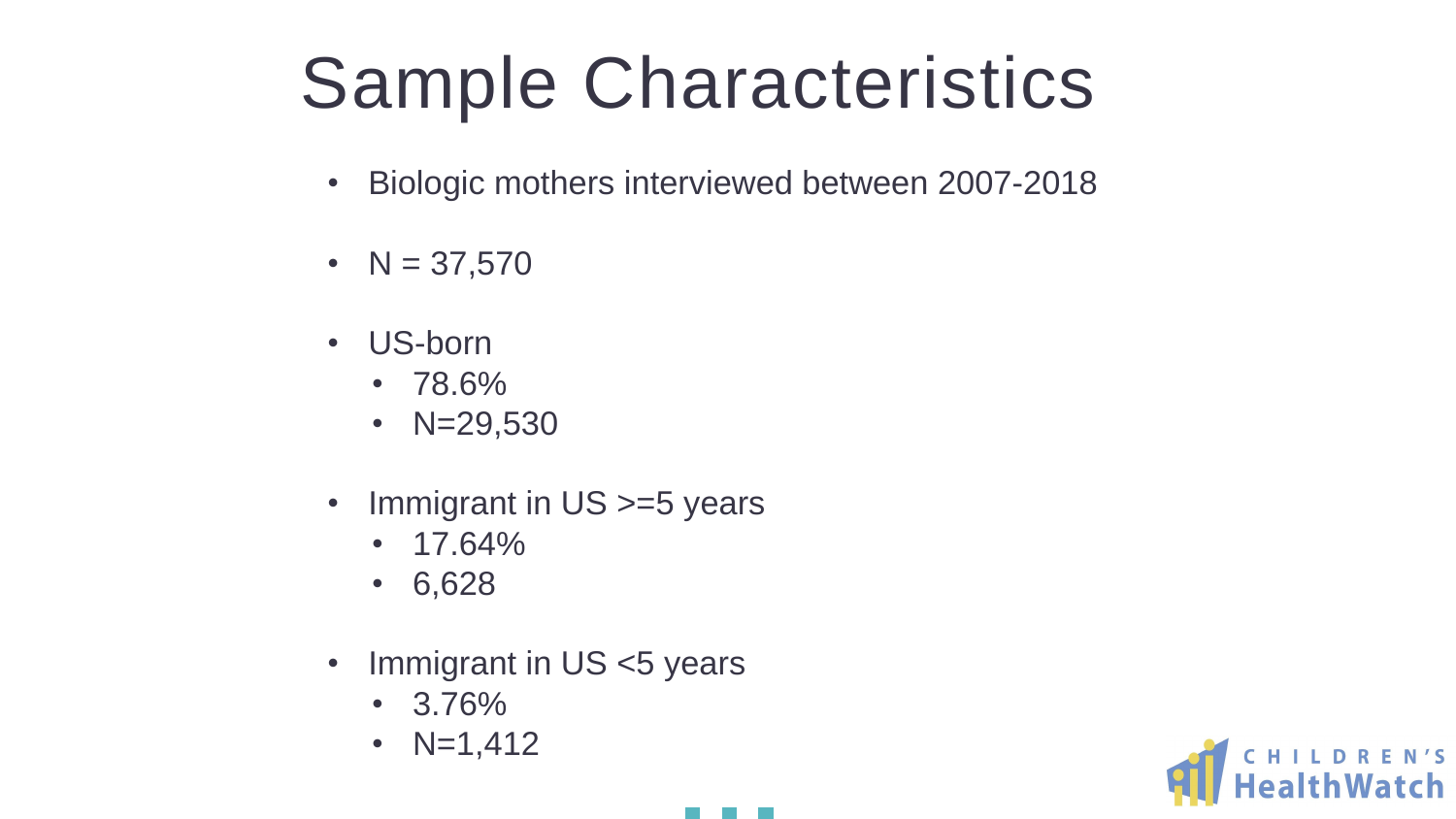## Sample Characteristics

- 
- $N = 37,570$
- US-born
	- 78.6%
	- $N=29,530$
- Immigrant in US >=5 years
	- $17.64\%$
	- 6,628
- Immigrant in US <5 years
	- 3.76%
	- $N=1,412$

• Biologic mothers interviewed between 2007-2018

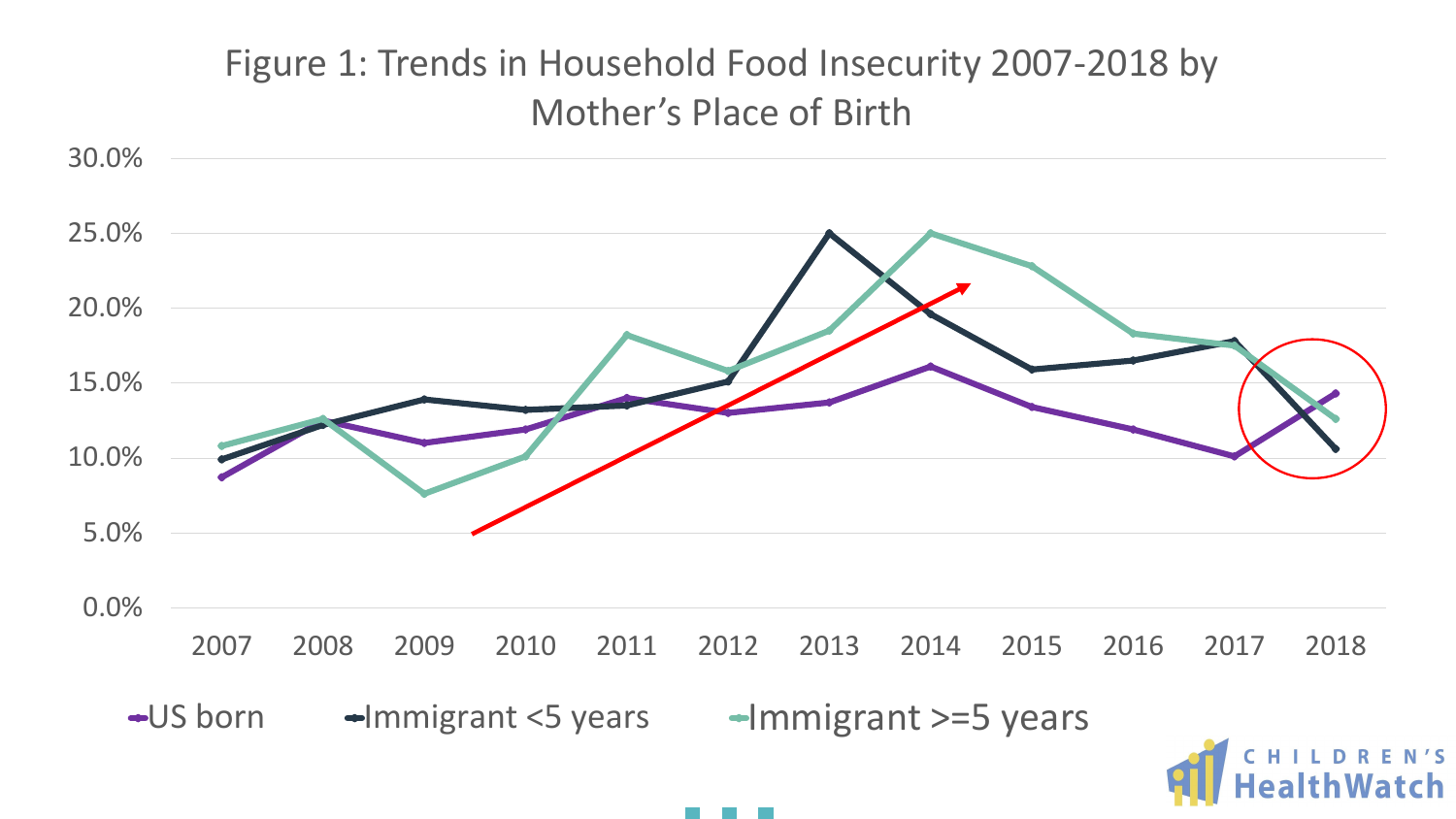



### Figure 1: Trends in Household Food Insecurity 2007-2018 by Mother's Place of Birth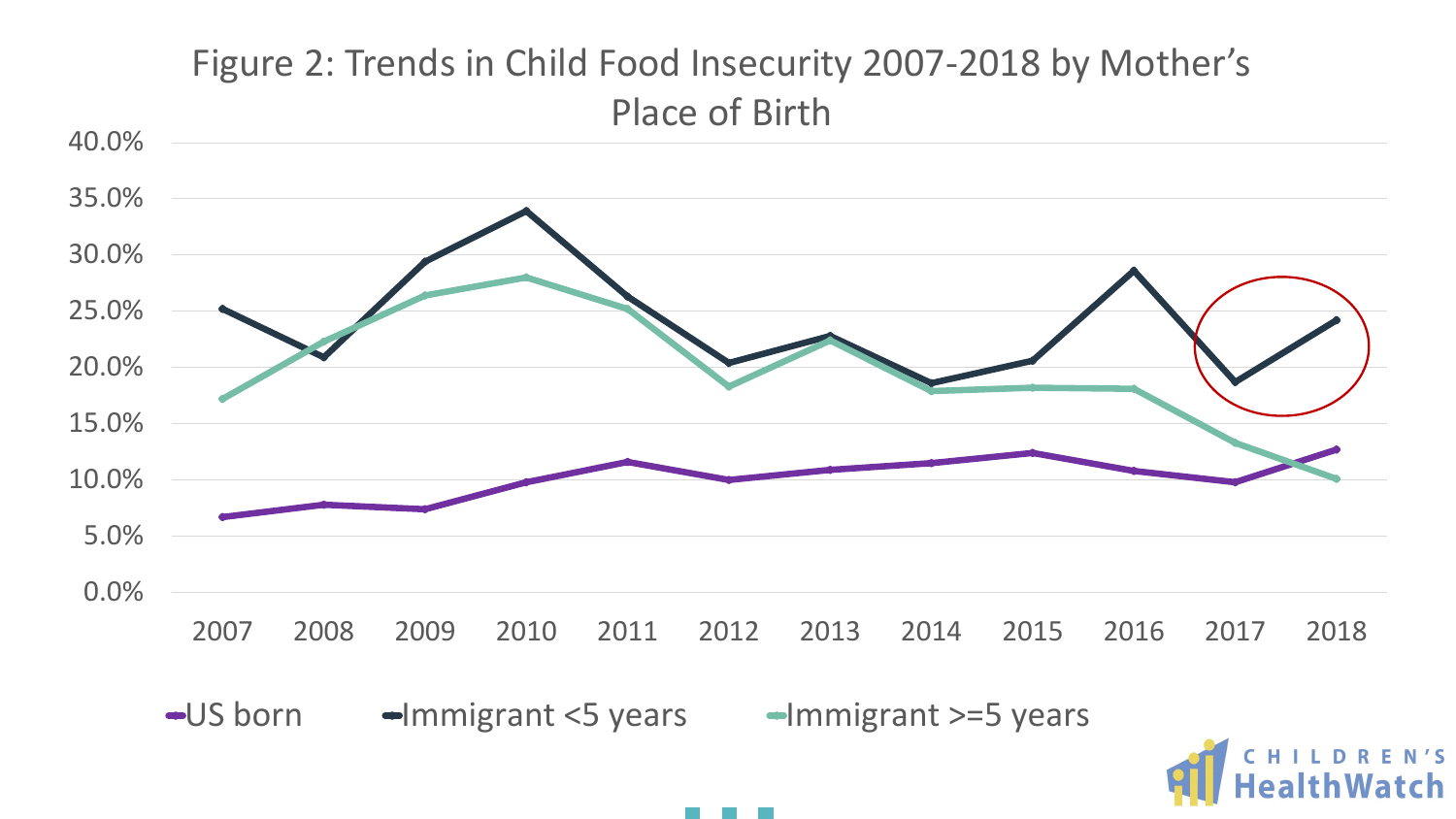

■ US born ■ Mmigrant <5 years → Mmigrant >=5 years



### Figure 2: Trends in Child Food Insecurity 2007-2018 by Mother's Place of Birth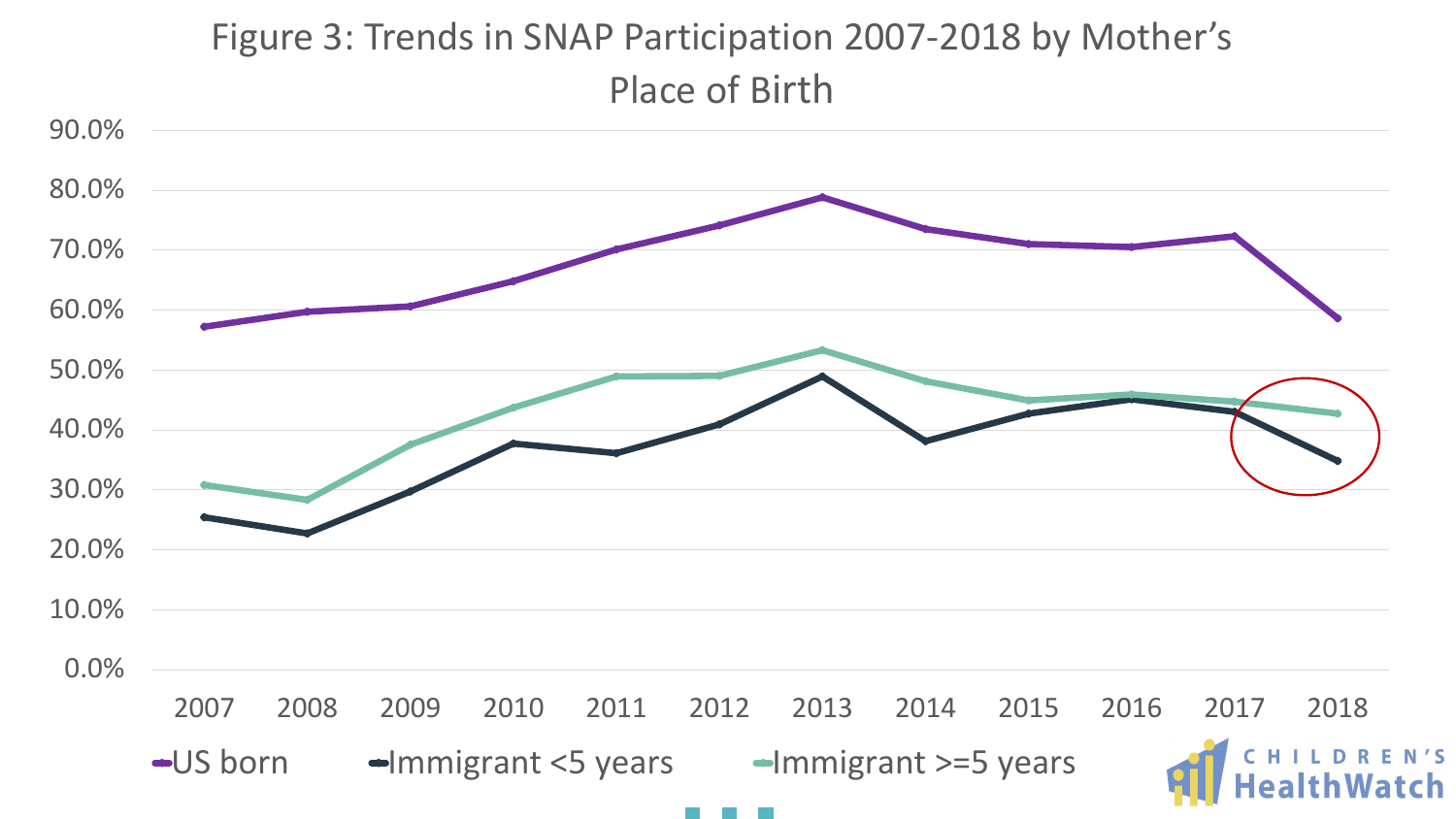

### Figure 3: Trends in SNAP Participation 2007-2018 by Mother's Place of Birth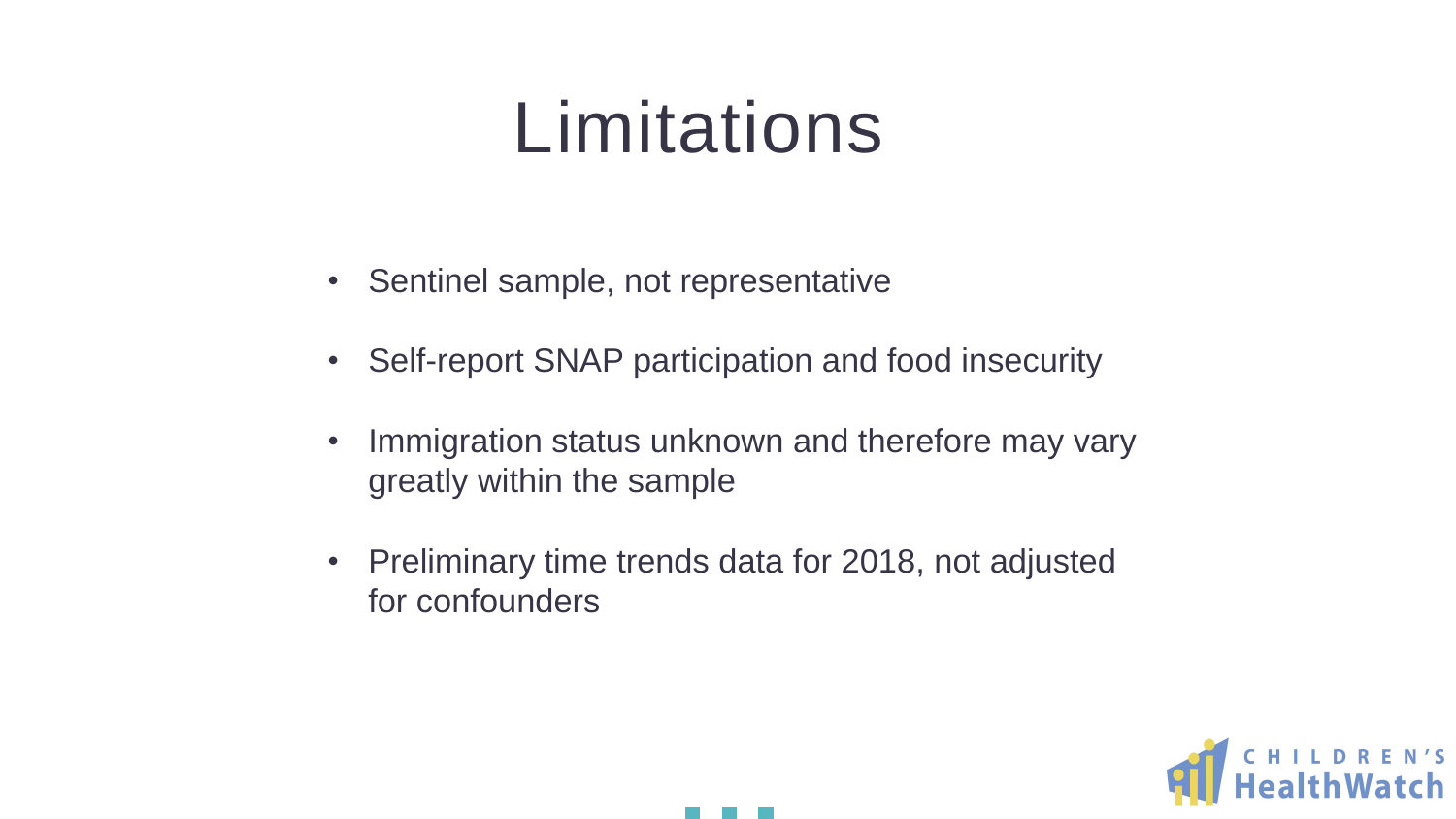### Limitations

- Sentinel sample, not representative
- Self-report SNAP participation and food insecurity
- Immigration status unknown and therefore may vary greatly within the sample
- Preliminary time trends data for 2018, not adjusted for confounders



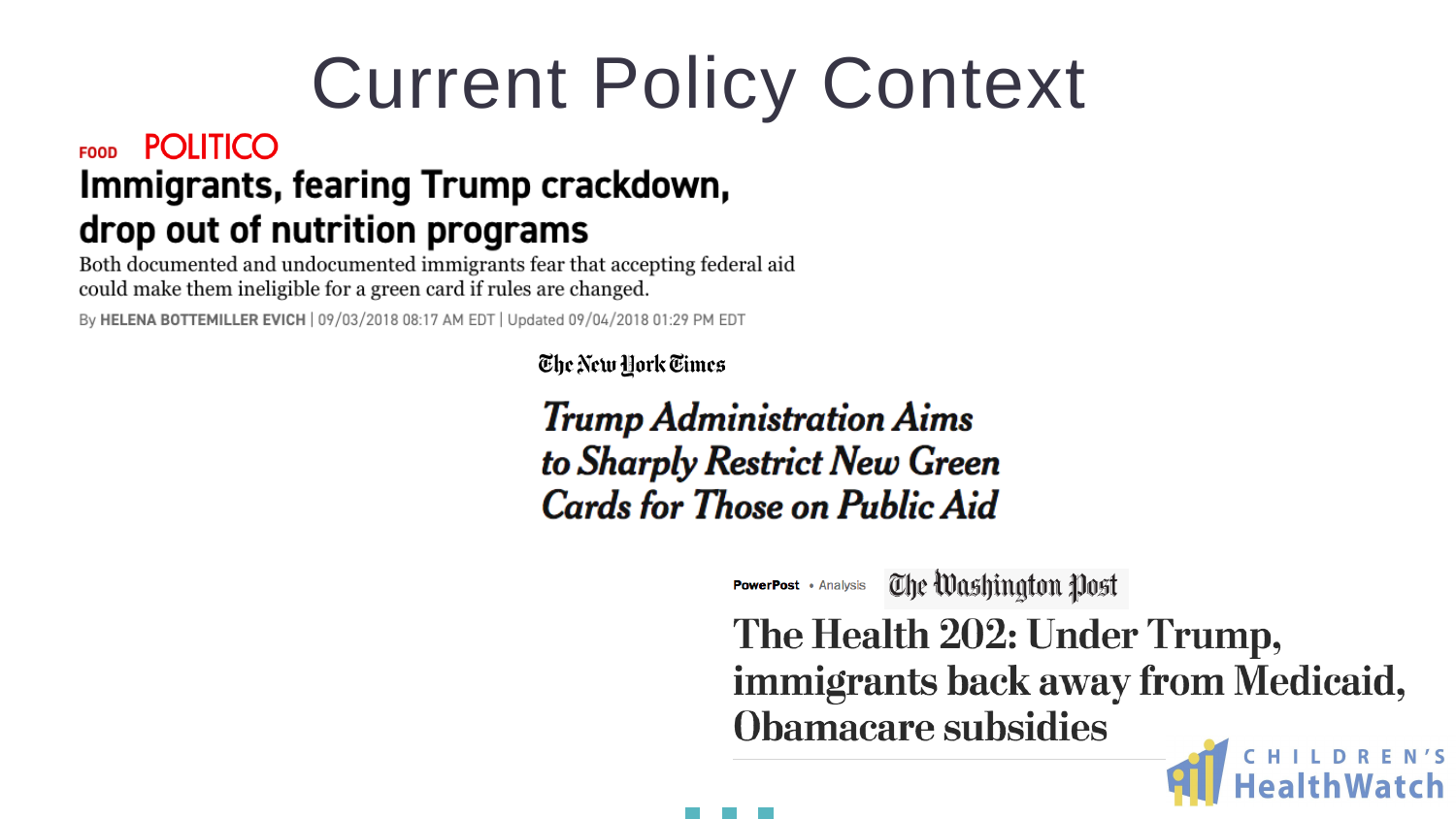## Current Policy Context

#### **POLITICO FOOD** Immigrants, fearing Trump crackdown, drop out of nutrition programs

Both documented and undocumented immigrants fear that accepting federal aid could make them ineligible for a green card if rules are changed.

By HELENA BOTTEMILLER EVICH | 09/03/2018 08:17 AM EDT | Updated 09/04/2018 01:29 PM EDT

The New York Times

#### **Trump Administration Aims** to Sharply Restrict New Green **Cards for Those on Public Aid**

The Washington Post **PowerPost** • Analysis

### The Health 202: Under Trump, immigrants back away from Medicaid, **Obamacare subsidies**

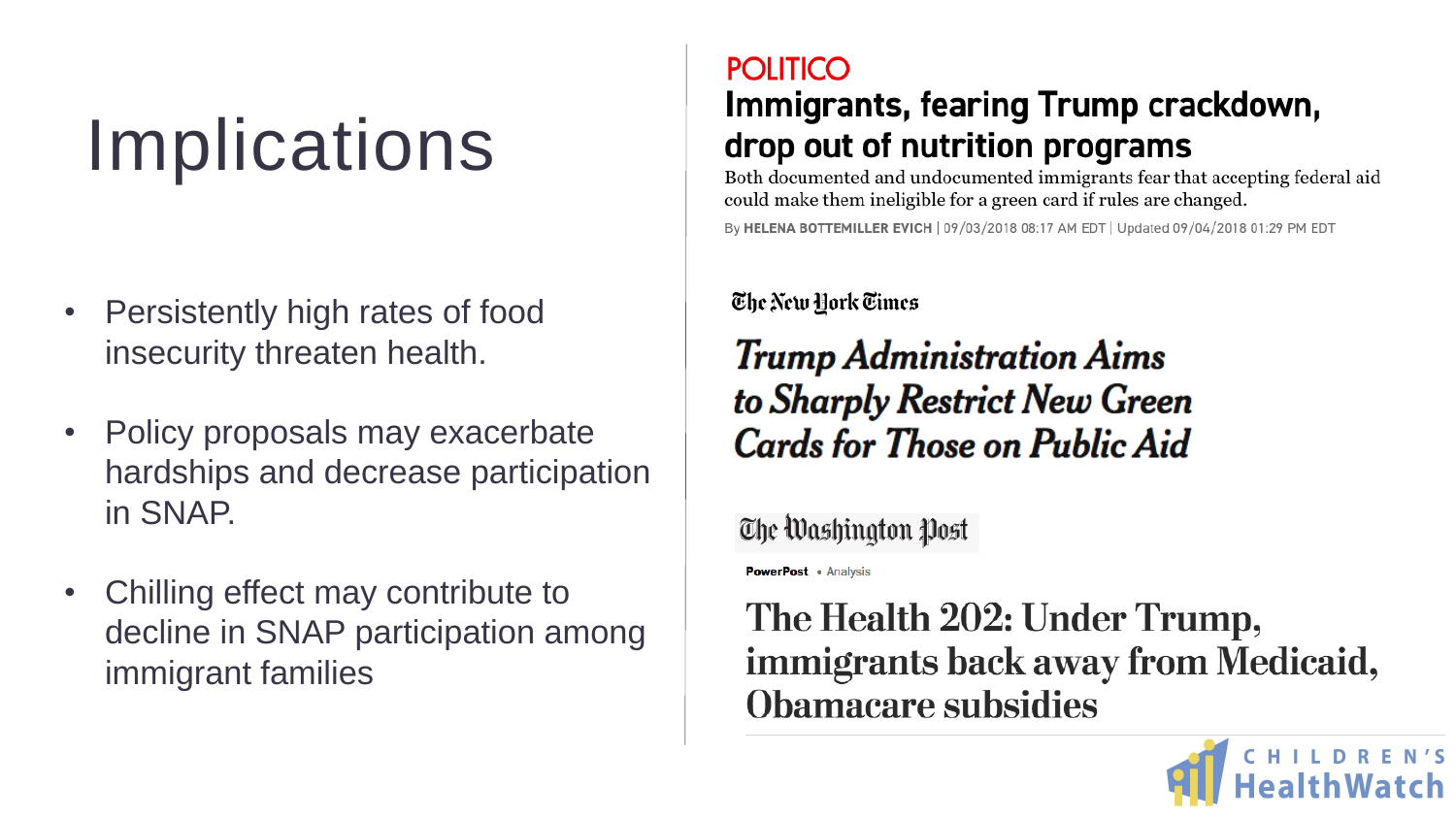### Implications

- Persistently high rates of food insecurity threaten health.
- Policy proposals may exacerbate hardships and decrease participation in SNAP.
- Chilling effect may contribute to decline in SNAP participation among immigrant families

#### **POLITICO** Immigrants, fearing Trump crackdown, drop out of nutrition programs

Both documented and undocumented immigrants fear that accepting federal aid could make them ineligible for a green card if rules are changed.

By HELENA BOTTEMILLER EVICH | 09/03/2018 08:17 AM EDT | Updated 09/04/2018 01:29 PM EDT

#### The New Hork Times

#### **Trump Administration Aims** to Sharply Restrict New Green **Cards for Those on Public Aid**

The Washington Post

**PowerPost** • Analysis

#### The Health 202: Under Trump, immigrants back away from Medicaid, **Obamacare subsidies**



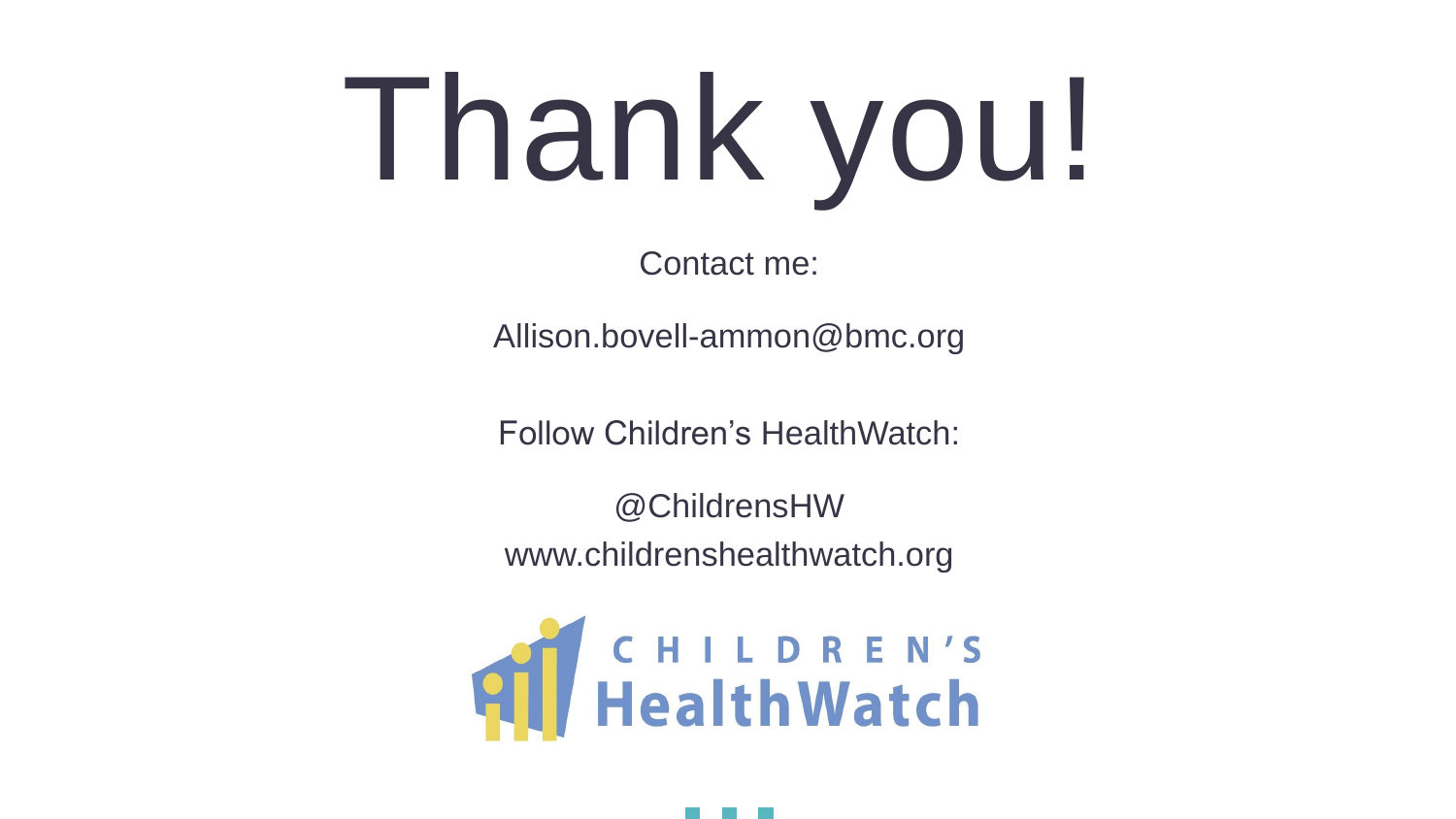# Thank you!

Contact me:

## **All HealthWatch**



- 
- Allison.bovell-ammon@bmc.org
- Follow Children's HealthWatch:
	- @ChildrensHW
- www.childrenshealthwatch.org

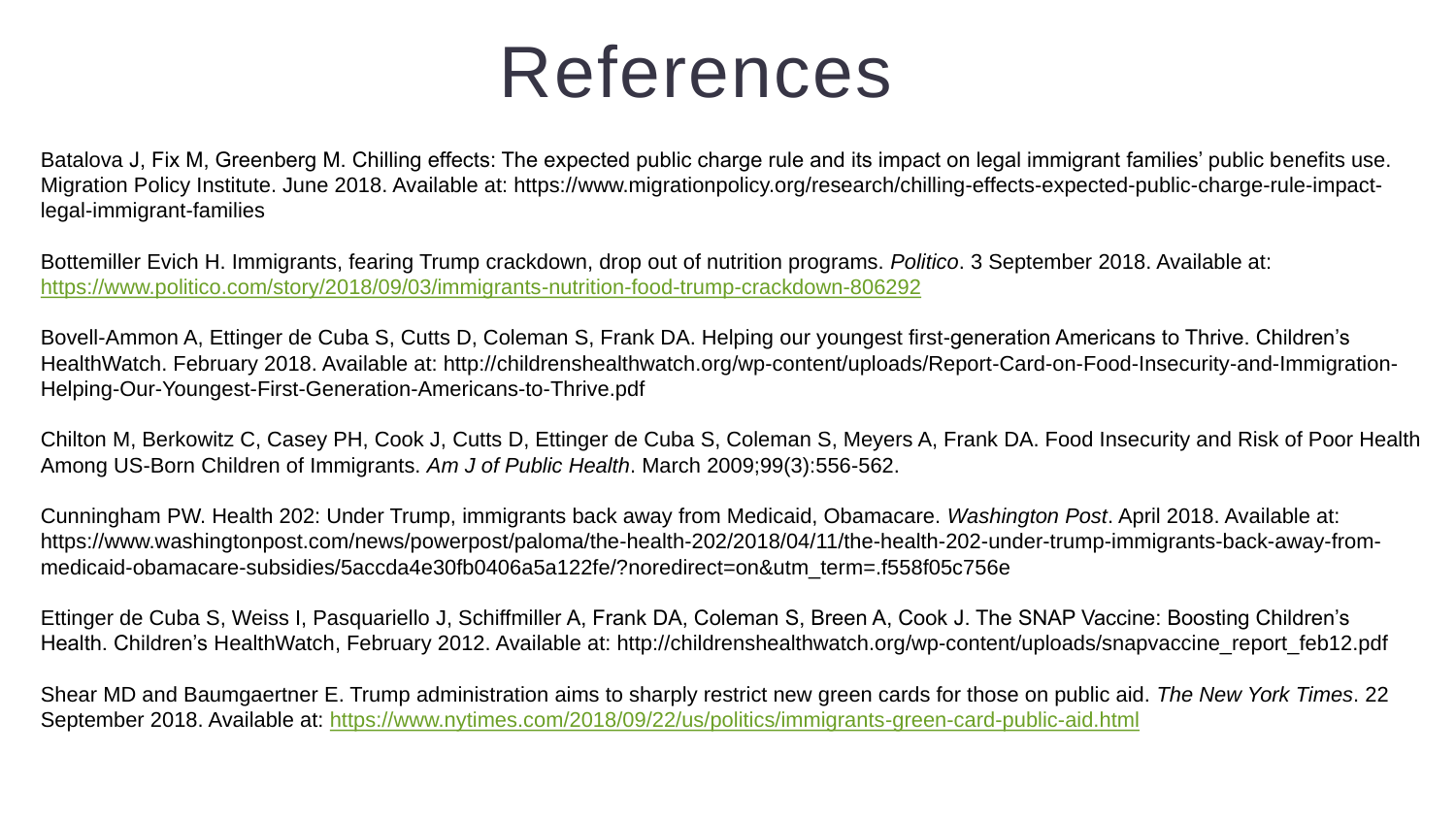### References

Batalova J, Fix M, Greenberg M. Chilling effects: The expected public charge rule and its impact on legal immigrant families' public benefits use. Migration Policy Institute. June 2018. Available at: https://www.migrationpolicy.org/research/chilling-effects-expected-public-charge-rule-impactlegal-immigrant-families

Bottemiller Evich H. Immigrants, fearing Trump crackdown, drop out of nutrition programs. *Politico*. 3 September 2018. Available at: <https://www.politico.com/story/2018/09/03/immigrants-nutrition-food-trump-crackdown-806292>

Bovell-Ammon A, Ettinger de Cuba S, Cutts D, Coleman S, Frank DA. Helping our youngest first-generation Americans to Thrive. Children's HealthWatch. February 2018. Available at: http://childrenshealthwatch.org/wp-content/uploads/Report-Card-on-Food-Insecurity-and-Immigration-Helping-Our-Youngest-First-Generation-Americans-to-Thrive.pdf

Chilton M, Berkowitz C, Casey PH, Cook J, Cutts D, Ettinger de Cuba S, Coleman S, Meyers A, Frank DA. Food Insecurity and Risk of Poor Health Among US-Born Children of Immigrants. *Am J of Public Health*. March 2009;99(3):556-562.

Cunningham PW. Health 202: Under Trump, immigrants back away from Medicaid, Obamacare. *Washington Post*. April 2018. Available at: https://www.washingtonpost.com/news/powerpost/paloma/the-health-202/2018/04/11/the-health-202-under-trump-immigrants-back-away-frommedicaid-obamacare-subsidies/5accda4e30fb0406a5a122fe/?noredirect=on&utm\_term=.f558f05c756e

Ettinger de Cuba S, Weiss I, Pasquariello J, Schiffmiller A, Frank DA, Coleman S, Breen A, Cook J. The SNAP Vaccine: Boosting Children's Health. Children's HealthWatch, February 2012. Available at: http://childrenshealthwatch.org/wp-content/uploads/snapvaccine\_report\_feb12.pdf

Shear MD and Baumgaertner E. Trump administration aims to sharply restrict new green cards for those on public aid. *The New York Times*. 22 September 2018. Available at: <https://www.nytimes.com/2018/09/22/us/politics/immigrants-green-card-public-aid.html>